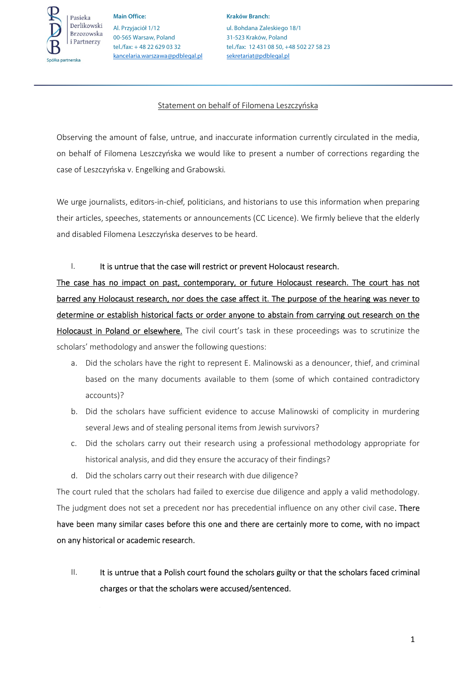

**Main Office: Kraków Branch:**  Al. Przyjaciół 1/12 ul. Bohdana Zaleskiego 18/1 00-565 Warsaw, Poland 31-523 Kraków, Poland kancelaria.warszawa@pdblegal.pl sekretariat@pdblegal.pl

tel./fax: + 48 22 629 03 32 tel./fax: 12 431 08 50, +48 502 27 58 23

### Statement on behalf of Filomena Leszczyńska

Observing the amount of false, untrue, and inaccurate information currently circulated in the media, on behalf of Filomena Leszczyńska we would like to present a number of corrections regarding the case of Leszczyńska v. Engelking and Grabowski*.* 

We urge journalists, editors-in-chief, politicians, and historians to use this information when preparing their articles, speeches, statements or announcements (CC Licence). We firmly believe that the elderly and disabled Filomena Leszczyńska deserves to be heard.

### I. It is untrue that the case will restrict or prevent Holocaust research.

The case has no impact on past, contemporary, or future Holocaust research. The court has not barred any Holocaust research, nor does the case affect it. The purpose of the hearing was never to determine or establish historical facts or order anyone to abstain from carrying out research on the Holocaust in Poland or elsewhere. The civil court's task in these proceedings was to scrutinize the scholars' methodology and answer the following questions:

- a. Did the scholars have the right to represent E. Malinowski as a denouncer, thief, and criminal based on the many documents available to them (some of which contained contradictory accounts)?
- b. Did the scholars have sufficient evidence to accuse Malinowski of complicity in murdering several Jews and of stealing personal items from Jewish survivors?
- c. Did the scholars carry out their research using a professional methodology appropriate for historical analysis, and did they ensure the accuracy of their findings?
- d. Did the scholars carry out their research with due diligence?

The court ruled that the scholars had failed to exercise due diligence and apply a valid methodology. The judgment does not set a precedent nor has precedential influence on any other civil case. There have been many similar cases before this one and there are certainly more to come, with no impact on any historical or academic research.

II. It is untrue that a Polish court found the scholars guilty or that the scholars faced criminal charges or that the scholars were accused/sentenced.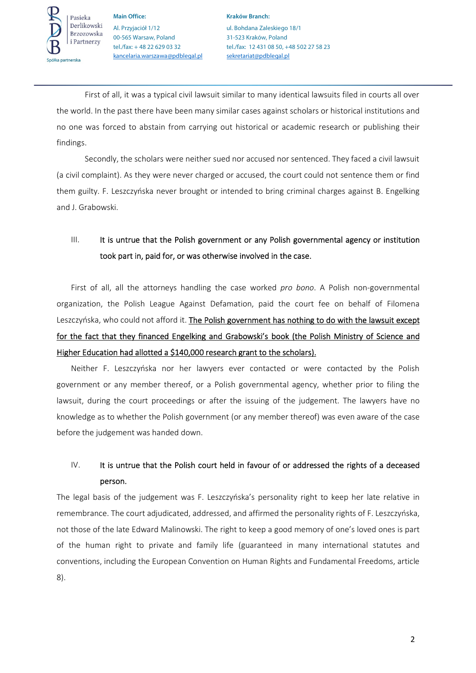

**Main Office: Kraków Branch: Kraków Branch:** Al. Przyjaciół 1/12 ul. Bohdana Zaleskiego 18/1 00-565 Warsaw, Poland 31-523 Kraków, Poland kancelaria.warszawa@pdblegal.pl sekretariat@pdblegal.pl

tel./fax: + 48 22 629 03 32 tel./fax: 12 431 08 50, +48 502 27 58 23

First of all, it was a typical civil lawsuit similar to many identical lawsuits filed in courts all over the world. In the past there have been many similar cases against scholars or historical institutions and no one was forced to abstain from carrying out historical or academic research or publishing their findings.

Secondly, the scholars were neither sued nor accused nor sentenced. They faced a civil lawsuit (a civil complaint). As they were never charged or accused, the court could not sentence them or find them guilty. F. Leszczyńska never brought or intended to bring criminal charges against B. Engelking and J. Grabowski.

# III. It is untrue that the Polish government or any Polish governmental agency or institution took part in, paid for, or was otherwise involved in the case.

First of all, all the attorneys handling the case worked *pro bono*. A Polish non-governmental organization, the Polish League Against Defamation, paid the court fee on behalf of Filomena Leszczyńska, who could not afford it. The Polish government has nothing to do with the lawsuit except for the fact that they financed Engelking and Grabowski's book (the Polish Ministry of Science and Higher Education had allotted a \$140,000 research grant to the scholars).

Neither F. Leszczyńska nor her lawyers ever contacted or were contacted by the Polish government or any member thereof, or a Polish governmental agency, whether prior to filing the lawsuit, during the court proceedings or after the issuing of the judgement. The lawyers have no knowledge as to whether the Polish government (or any member thereof) was even aware of the case before the judgement was handed down.

## IV. It is untrue that the Polish court held in favour of or addressed the rights of a deceased person.

The legal basis of the judgement was F. Leszczyńska's personality right to keep her late relative in remembrance. The court adjudicated, addressed, and affirmed the personality rights of F. Leszczyńska, not those of the late Edward Malinowski. The right to keep a good memory of one's loved ones is part of the human right to private and family life (guaranteed in many international statutes and conventions, including the European Convention on Human Rights and Fundamental Freedoms, article 8).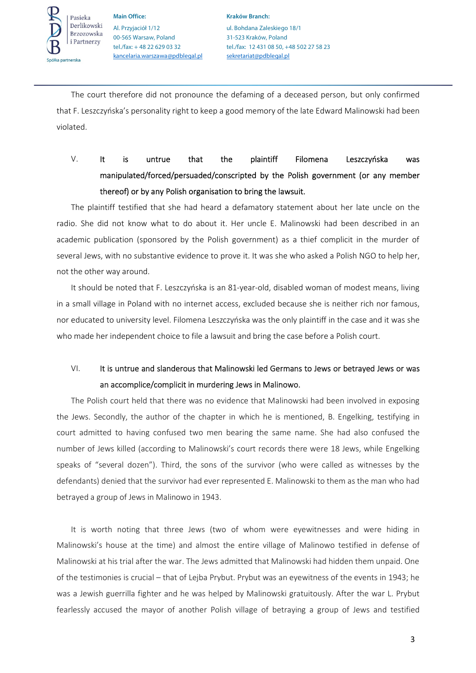

**Main Office: Kraków Branch:**  Al. Przyjaciół 1/12 ul. Bohdana Zaleskiego 18/1 00-565 Warsaw, Poland 31-523 Kraków, Poland kancelaria.warszawa@pdblegal.pl sekretariat@pdblegal.pl

tel./fax: + 48 22 629 03 32 tel./fax: 12 431 08 50, +48 502 27 58 23

The court therefore did not pronounce the defaming of a deceased person, but only confirmed that F. Leszczyńska's personality right to keep a good memory of the late Edward Malinowski had been violated.

# V. It is untrue that the plaintiff Filomena Leszczyńska was manipulated/forced/persuaded/conscripted by the Polish government (or any member thereof) or by any Polish organisation to bring the lawsuit.

The plaintiff testified that she had heard a defamatory statement about her late uncle on the radio. She did not know what to do about it. Her uncle E. Malinowski had been described in an academic publication (sponsored by the Polish government) as a thief complicit in the murder of several Jews, with no substantive evidence to prove it. It was she who asked a Polish NGO to help her, not the other way around.

It should be noted that F. Leszczyńska is an 81-year-old, disabled woman of modest means, living in a small village in Poland with no internet access, excluded because she is neither rich nor famous, nor educated to university level. Filomena Leszczyńska was the only plaintiff in the case and it was she who made her independent choice to file a lawsuit and bring the case before a Polish court.

# VI. It is untrue and slanderous that Malinowski led Germans to Jews or betrayed Jews or was an accomplice/complicit in murdering Jews in Malinowo.

The Polish court held that there was no evidence that Malinowski had been involved in exposing the Jews. Secondly, the author of the chapter in which he is mentioned, B. Engelking, testifying in court admitted to having confused two men bearing the same name. She had also confused the number of Jews killed (according to Malinowski's court records there were 18 Jews, while Engelking speaks of "several dozen"). Third, the sons of the survivor (who were called as witnesses by the defendants) denied that the survivor had ever represented E. Malinowski to them as the man who had betrayed a group of Jews in Malinowo in 1943.

It is worth noting that three Jews (two of whom were eyewitnesses and were hiding in Malinowski's house at the time) and almost the entire village of Malinowo testified in defense of Malinowski at his trial after the war. The Jews admitted that Malinowski had hidden them unpaid. One of the testimonies is crucial – that of Lejba Prybut. Prybut was an eyewitness of the events in 1943; he was a Jewish guerrilla fighter and he was helped by Malinowski gratuitously. After the war L. Prybut fearlessly accused the mayor of another Polish village of betraying a group of Jews and testified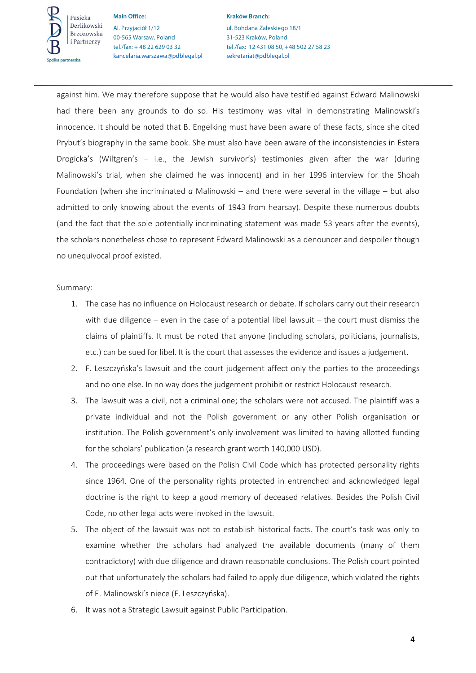

**Main Office: Kraków Branch: Kraków Branch:** Al. Przyjaciół 1/12 ul. Bohdana Zaleskiego 18/1 00-565 Warsaw, Poland 31-523 Kraków, Poland kancelaria.warszawa@pdblegal.pl sekretariat@pdblegal.pl

tel./fax: + 48 22 629 03 32 tel./fax: 12 431 08 50, +48 502 27 58 23

against him. We may therefore suppose that he would also have testified against Edward Malinowski had there been any grounds to do so. His testimony was vital in demonstrating Malinowski's innocence. It should be noted that B. Engelking must have been aware of these facts, since she cited Prybut's biography in the same book. She must also have been aware of the inconsistencies in Estera Drogicka's (Wiltgren's – i.e., the Jewish survivor's) testimonies given after the war (during Malinowski's trial, when she claimed he was innocent) and in her 1996 interview for the Shoah Foundation (when she incriminated *a* Malinowski – and there were several in the village – but also admitted to only knowing about the events of 1943 from hearsay). Despite these numerous doubts (and the fact that the sole potentially incriminating statement was made 53 years after the events), the scholars nonetheless chose to represent Edward Malinowski as a denouncer and despoiler though no unequivocal proof existed.

### Summary:

- 1. The case has no influence on Holocaust research or debate. If scholars carry out their research with due diligence – even in the case of a potential libel lawsuit – the court must dismiss the claims of plaintiffs. It must be noted that anyone (including scholars, politicians, journalists, etc.) can be sued for libel. It is the court that assesses the evidence and issues a judgement.
- 2. F. Leszczyńska's lawsuit and the court judgement affect only the parties to the proceedings and no one else. In no way does the judgement prohibit or restrict Holocaust research.
- 3. The lawsuit was a civil, not a criminal one; the scholars were not accused. The plaintiff was a private individual and not the Polish government or any other Polish organisation or institution. The Polish government's only involvement was limited to having allotted funding for the scholars' publication (a research grant worth 140,000 USD).
- 4. The proceedings were based on the Polish Civil Code which has protected personality rights since 1964. One of the personality rights protected in entrenched and acknowledged legal doctrine is the right to keep a good memory of deceased relatives. Besides the Polish Civil Code, no other legal acts were invoked in the lawsuit.
- 5. The object of the lawsuit was not to establish historical facts. The court's task was only to examine whether the scholars had analyzed the available documents (many of them contradictory) with due diligence and drawn reasonable conclusions. The Polish court pointed out that unfortunately the scholars had failed to apply due diligence, which violated the rights of E. Malinowski's niece (F. Leszczyńska).
- 6. It was not a Strategic Lawsuit against Public Participation.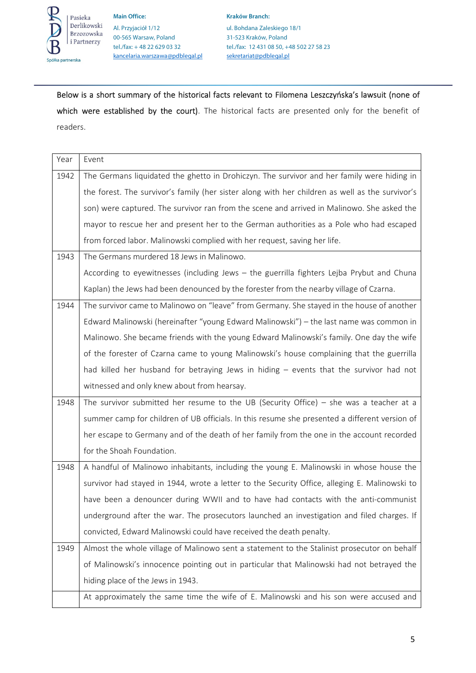

**Main Office:** Kraków Branch: Al. Przyjaciół 1/12 ul. Bohdana Zaleskiego 18/1 00-565 Warsaw, Poland 31-523 Kraków, Poland kancelaria.warszawa@pdblegal.pl sekretariat@pdblegal.pl

tel./fax: + 48 22 629 03 32 tel./fax: 12 431 08 50, +48 502 27 58 23

Below is a short summary of the historical facts relevant to Filomena Leszczyńska's lawsuit (none of which were established by the court). The historical facts are presented only for the benefit of readers.

| Year | Event                                                                                           |
|------|-------------------------------------------------------------------------------------------------|
| 1942 | The Germans liquidated the ghetto in Drohiczyn. The survivor and her family were hiding in      |
|      | the forest. The survivor's family (her sister along with her children as well as the survivor's |
|      | son) were captured. The survivor ran from the scene and arrived in Malinowo. She asked the      |
|      | mayor to rescue her and present her to the German authorities as a Pole who had escaped         |
|      | from forced labor. Malinowski complied with her request, saving her life.                       |
| 1943 | The Germans murdered 18 Jews in Malinowo.                                                       |
|      | According to eyewitnesses (including Jews - the guerrilla fighters Lejba Prybut and Chuna       |
|      | Kaplan) the Jews had been denounced by the forester from the nearby village of Czarna.          |
| 1944 | The survivor came to Malinowo on "leave" from Germany. She stayed in the house of another       |
|      | Edward Malinowski (hereinafter "young Edward Malinowski") – the last name was common in         |
|      | Malinowo. She became friends with the young Edward Malinowski's family. One day the wife        |
|      | of the forester of Czarna came to young Malinowski's house complaining that the guerrilla       |
|      | had killed her husband for betraying Jews in hiding - events that the survivor had not          |
|      |                                                                                                 |
|      | witnessed and only knew about from hearsay.                                                     |
| 1948 | The survivor submitted her resume to the UB (Security Office) $-$ she was a teacher at a        |
|      | summer camp for children of UB officials. In this resume she presented a different version of   |
|      | her escape to Germany and of the death of her family from the one in the account recorded       |
|      | for the Shoah Foundation.                                                                       |
| 1948 | A handful of Malinowo inhabitants, including the young E. Malinowski in whose house the         |
|      | survivor had stayed in 1944, wrote a letter to the Security Office, alleging E. Malinowski to   |
|      | have been a denouncer during WWII and to have had contacts with the anti-communist              |
|      | underground after the war. The prosecutors launched an investigation and filed charges. If      |
|      | convicted, Edward Malinowski could have received the death penalty.                             |
| 1949 | Almost the whole village of Malinowo sent a statement to the Stalinist prosecutor on behalf     |
|      | of Malinowski's innocence pointing out in particular that Malinowski had not betrayed the       |
|      | hiding place of the Jews in 1943.                                                               |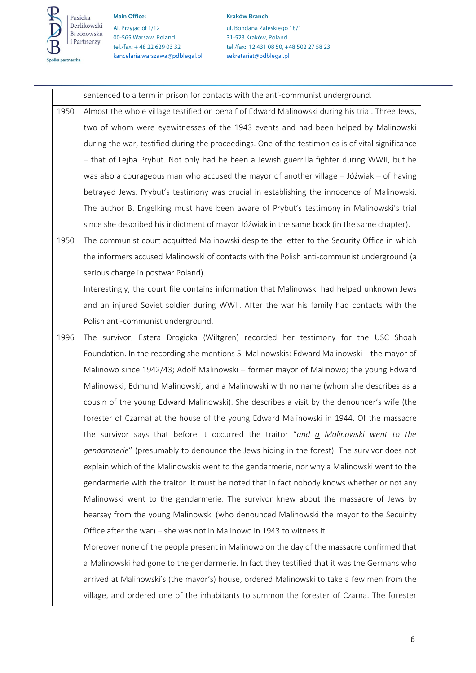

**Main Office: Kraków Branch: Kraków Branch: Kraków Branch:** 

Al. Przyjaciół 1/12 ul. Bohdana Zaleskiego 18/1 00-565 Warsaw, Poland 31-523 Kraków, Poland kancelaria.warszawa@pdblegal.pl sekretariat@pdblegal.pl

tel./fax: + 48 22 629 03 32 tel./fax: 12 431 08 50, +48 502 27 58 23

|      | sentenced to a term in prison for contacts with the anti-communist underground.                   |
|------|---------------------------------------------------------------------------------------------------|
| 1950 | Almost the whole village testified on behalf of Edward Malinowski during his trial. Three Jews,   |
|      | two of whom were eyewitnesses of the 1943 events and had been helped by Malinowski                |
|      | during the war, testified during the proceedings. One of the testimonies is of vital significance |
|      | - that of Lejba Prybut. Not only had he been a Jewish guerrilla fighter during WWII, but he       |
|      | was also a courageous man who accused the mayor of another village - Jóźwiak - of having          |
|      | betrayed Jews. Prybut's testimony was crucial in establishing the innocence of Malinowski.        |
|      | The author B. Engelking must have been aware of Prybut's testimony in Malinowski's trial          |
|      | since she described his indictment of mayor Jóźwiak in the same book (in the same chapter).       |
| 1950 | The communist court acquitted Malinowski despite the letter to the Security Office in which       |
|      | the informers accused Malinowski of contacts with the Polish anti-communist underground (a        |
|      | serious charge in postwar Poland).                                                                |
|      | Interestingly, the court file contains information that Malinowski had helped unknown Jews        |
|      | and an injured Soviet soldier during WWII. After the war his family had contacts with the         |
|      | Polish anti-communist underground.                                                                |
| 1996 | The survivor, Estera Drogicka (Wiltgren) recorded her testimony for the USC Shoah                 |
|      | Foundation. In the recording she mentions 5 Malinowskis: Edward Malinowski - the mayor of         |
|      | Malinowo since 1942/43; Adolf Malinowski - former mayor of Malinowo; the young Edward             |
|      | Malinowski; Edmund Malinowski, and a Malinowski with no name (whom she describes as a             |
|      | cousin of the young Edward Malinowski). She describes a visit by the denouncer's wife (the        |
|      | forester of Czarna) at the house of the young Edward Malinowski in 1944. Of the massacre          |
|      | the survivor says that before it occurred the traitor "and a Malinowski went to the               |
|      | <i>gendarmerie"</i> (presumably to denounce the Jews hiding in the forest). The survivor does not |
|      | explain which of the Malinowskis went to the gendarmerie, nor why a Malinowski went to the        |
|      | gendarmerie with the traitor. It must be noted that in fact nobody knows whether or not any       |
|      | Malinowski went to the gendarmerie. The survivor knew about the massacre of Jews by               |
|      | hearsay from the young Malinowski (who denounced Malinowski the mayor to the Secuirity            |
|      | Office after the war) – she was not in Malinowo in 1943 to witness it.                            |
|      | Moreover none of the people present in Malinowo on the day of the massacre confirmed that         |
|      | a Malinowski had gone to the gendarmerie. In fact they testified that it was the Germans who      |
|      | arrived at Malinowski's (the mayor's) house, ordered Malinowski to take a few men from the        |
|      | village, and ordered one of the inhabitants to summon the forester of Czarna. The forester        |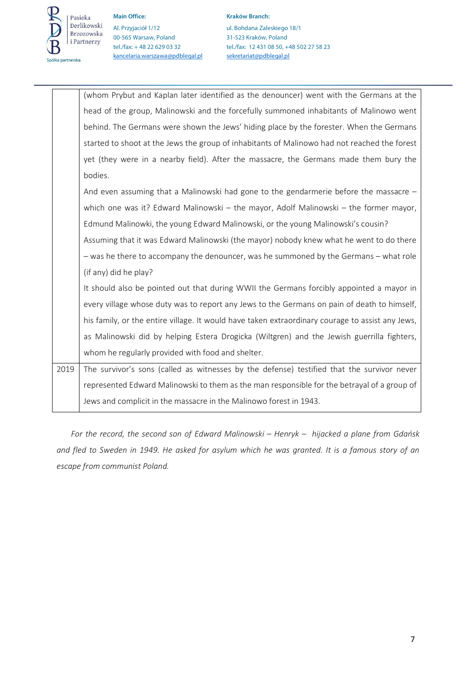

**Main Office:** Kraków Branch: Al. Przyjaciół 1/12 ul. Bohdana Zaleskiego 18/1 00-565 Warsaw, Poland 31-523 Kraków, Poland kancelaria.warszawa@pdblegal.pl sekretariat@pdblegal.pl

tel./fax: + 48 22 629 03 32 tel./fax: 12 431 08 50, +48 502 27 58 23

|      | (whom Prybut and Kaplan later identified as the denouncer) went with the Germans at the          |
|------|--------------------------------------------------------------------------------------------------|
|      | head of the group, Malinowski and the forcefully summoned inhabitants of Malinowo went           |
|      | behind. The Germans were shown the Jews' hiding place by the forester. When the Germans          |
|      | started to shoot at the Jews the group of inhabitants of Malinowo had not reached the forest     |
|      | yet (they were in a nearby field). After the massacre, the Germans made them bury the            |
|      | bodies.                                                                                          |
|      | And even assuming that a Malinowski had gone to the gendarmerie before the massacre -            |
|      | which one was it? Edward Malinowski – the mayor, Adolf Malinowski – the former mayor,            |
|      | Edmund Malinowki, the young Edward Malinowski, or the young Malinowski's cousin?                 |
|      | Assuming that it was Edward Malinowski (the mayor) nobody knew what he went to do there          |
|      | - was he there to accompany the denouncer, was he summoned by the Germans - what role            |
|      | (if any) did he play?                                                                            |
|      | It should also be pointed out that during WWII the Germans forcibly appointed a mayor in         |
|      | every village whose duty was to report any Jews to the Germans on pain of death to himself,      |
|      | his family, or the entire village. It would have taken extraordinary courage to assist any Jews, |
|      | as Malinowski did by helping Estera Drogicka (Wiltgren) and the Jewish guerrilla fighters,       |
|      | whom he regularly provided with food and shelter.                                                |
| 2019 | The survivor's sons (called as witnesses by the defense) testified that the survivor never       |
|      | represented Edward Malinowski to them as the man responsible for the betrayal of a group of      |
|      | Jews and complicit in the massacre in the Malinowo forest in 1943.                               |

*For the record, the second son of Edward Malinowski – Henryk – hijacked a plane from Gdańsk and fled to Sweden in 1949. He asked for asylum which he was granted. It is a famous story of an escape from communist Poland.*